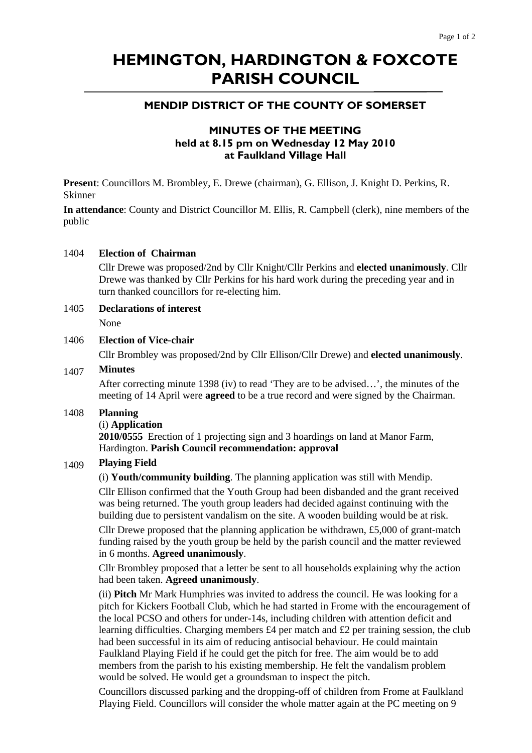# **HEMINGTON, HARDINGTON & FOXCOTE PARISH COUNCIL**

# **MENDIP DISTRICT OF THE COUNTY OF SOMERSET**

# **MINUTES OF THE MEETING held at 8.15 pm on Wednesday 12 May 2010 at Faulkland Village Hall**

**Present**: Councillors M. Brombley, E. Drewe (chairman), G. Ellison, J. Knight D. Perkins, R. Skinner

**In attendance**: County and District Councillor M. Ellis, R. Campbell (clerk), nine members of the public

## 1404 **Election of Chairman**

Cllr Drewe was proposed/2nd by Cllr Knight/Cllr Perkins and **elected unanimously**. Cllr Drewe was thanked by Cllr Perkins for his hard work during the preceding year and in turn thanked councillors for re-electing him.

## 1405 **Declarations of interest**

None

# 1406 **Election of Vice-chair**

Cllr Brombley was proposed/2nd by Cllr Ellison/Cllr Drewe) and **elected unanimously**.

# 1407 **Minutes**

After correcting minute 1398 (iv) to read 'They are to be advised…', the minutes of the meeting of 14 April were **agreed** to be a true record and were signed by the Chairman.

#### 1408 **Planning**

#### (i) **Application**

**2010/0555** Erection of 1 projecting sign and 3 hoardings on land at Manor Farm, Hardington. **Parish Council recommendation: approval** 

### 1409 **Playing Field**

(i) **Youth/community building**. The planning application was still with Mendip.

Cllr Ellison confirmed that the Youth Group had been disbanded and the grant received was being returned. The youth group leaders had decided against continuing with the building due to persistent vandalism on the site. A wooden building would be at risk.

Cllr Drewe proposed that the planning application be withdrawn, £5,000 of grant-match funding raised by the youth group be held by the parish council and the matter reviewed in 6 months. **Agreed unanimously**.

Cllr Brombley proposed that a letter be sent to all households explaining why the action had been taken. **Agreed unanimously**.

(ii) **Pitch** Mr Mark Humphries was invited to address the council. He was looking for a pitch for Kickers Football Club, which he had started in Frome with the encouragement of the local PCSO and others for under-14s, including children with attention deficit and learning difficulties. Charging members  $\text{\pounds}4$  per match and  $\text{\pounds}2$  per training session, the club had been successful in its aim of reducing antisocial behaviour. He could maintain Faulkland Playing Field if he could get the pitch for free. The aim would be to add members from the parish to his existing membership. He felt the vandalism problem would be solved. He would get a groundsman to inspect the pitch.

Councillors discussed parking and the dropping-off of children from Frome at Faulkland Playing Field. Councillors will consider the whole matter again at the PC meeting on 9